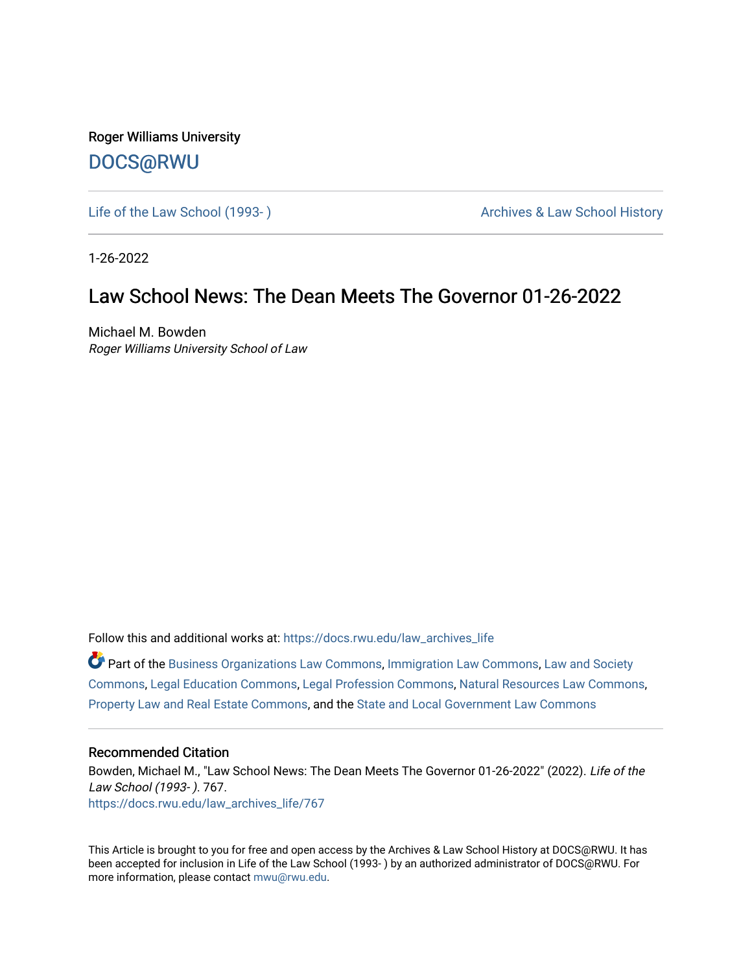Roger Williams University [DOCS@RWU](https://docs.rwu.edu/)

Life of the Law School (1993-) Case Archives & Law School History

1-26-2022

# Law School News: The Dean Meets The Governor 01-26-2022

Michael M. Bowden Roger Williams University School of Law

Follow this and additional works at: [https://docs.rwu.edu/law\\_archives\\_life](https://docs.rwu.edu/law_archives_life?utm_source=docs.rwu.edu%2Flaw_archives_life%2F767&utm_medium=PDF&utm_campaign=PDFCoverPages)

 $\bullet$  Part of the [Business Organizations Law Commons](http://network.bepress.com/hgg/discipline/900?utm_source=docs.rwu.edu%2Flaw_archives_life%2F767&utm_medium=PDF&utm_campaign=PDFCoverPages), [Immigration Law Commons,](http://network.bepress.com/hgg/discipline/604?utm_source=docs.rwu.edu%2Flaw_archives_life%2F767&utm_medium=PDF&utm_campaign=PDFCoverPages) Law and Society [Commons](http://network.bepress.com/hgg/discipline/853?utm_source=docs.rwu.edu%2Flaw_archives_life%2F767&utm_medium=PDF&utm_campaign=PDFCoverPages), [Legal Education Commons](http://network.bepress.com/hgg/discipline/857?utm_source=docs.rwu.edu%2Flaw_archives_life%2F767&utm_medium=PDF&utm_campaign=PDFCoverPages), [Legal Profession Commons,](http://network.bepress.com/hgg/discipline/1075?utm_source=docs.rwu.edu%2Flaw_archives_life%2F767&utm_medium=PDF&utm_campaign=PDFCoverPages) [Natural Resources Law Commons](http://network.bepress.com/hgg/discipline/863?utm_source=docs.rwu.edu%2Flaw_archives_life%2F767&utm_medium=PDF&utm_campaign=PDFCoverPages), [Property Law and Real Estate Commons,](http://network.bepress.com/hgg/discipline/897?utm_source=docs.rwu.edu%2Flaw_archives_life%2F767&utm_medium=PDF&utm_campaign=PDFCoverPages) and the [State and Local Government Law Commons](http://network.bepress.com/hgg/discipline/879?utm_source=docs.rwu.edu%2Flaw_archives_life%2F767&utm_medium=PDF&utm_campaign=PDFCoverPages) 

#### Recommended Citation

Bowden, Michael M., "Law School News: The Dean Meets The Governor 01-26-2022" (2022). Life of the Law School (1993- ). 767. [https://docs.rwu.edu/law\\_archives\\_life/767](https://docs.rwu.edu/law_archives_life/767?utm_source=docs.rwu.edu%2Flaw_archives_life%2F767&utm_medium=PDF&utm_campaign=PDFCoverPages)

This Article is brought to you for free and open access by the Archives & Law School History at DOCS@RWU. It has been accepted for inclusion in Life of the Law School (1993- ) by an authorized administrator of DOCS@RWU. For more information, please contact [mwu@rwu.edu](mailto:mwu@rwu.edu).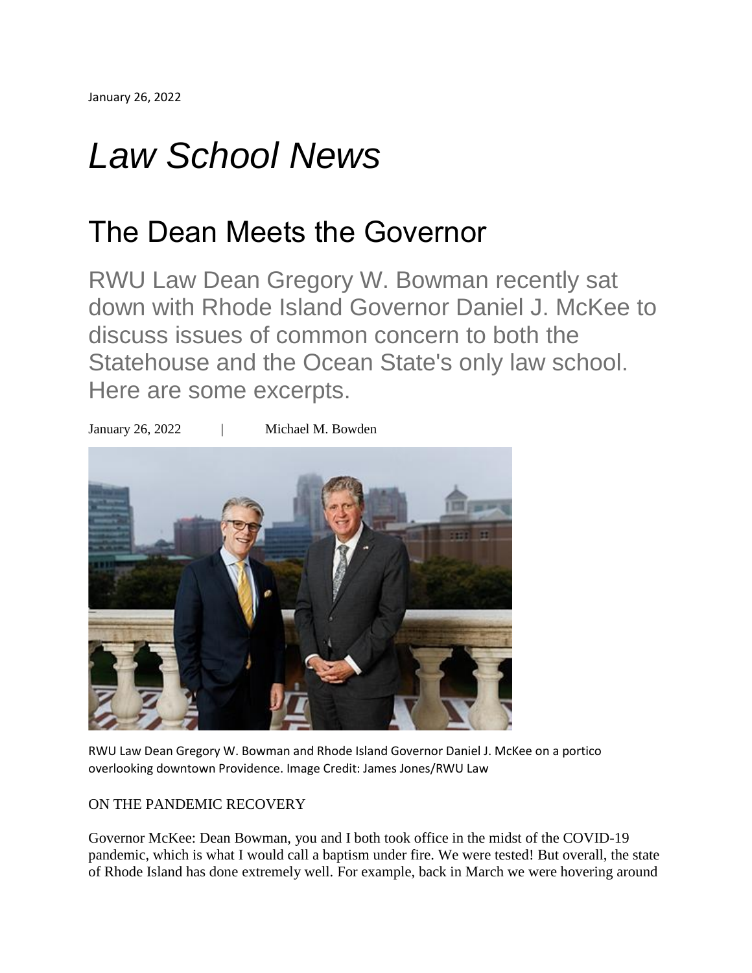# *Law School News*

# The Dean Meets the Governor

RWU Law Dean Gregory W. Bowman recently sat down with Rhode Island Governor Daniel J. McKee to discuss issues of common concern to both the Statehouse and the Ocean State's only law school. Here are some excerpts.



RWU Law Dean Gregory W. Bowman and Rhode Island Governor Daniel J. McKee on a portico overlooking downtown Providence. Image Credit: James Jones/RWU Law

## ON THE PANDEMIC RECOVERY

Governor McKee: Dean Bowman, you and I both took office in the midst of the COVID-19 pandemic, which is what I would call a baptism under fire. We were tested! But overall, the state of Rhode Island has done extremely well. For example, back in March we were hovering around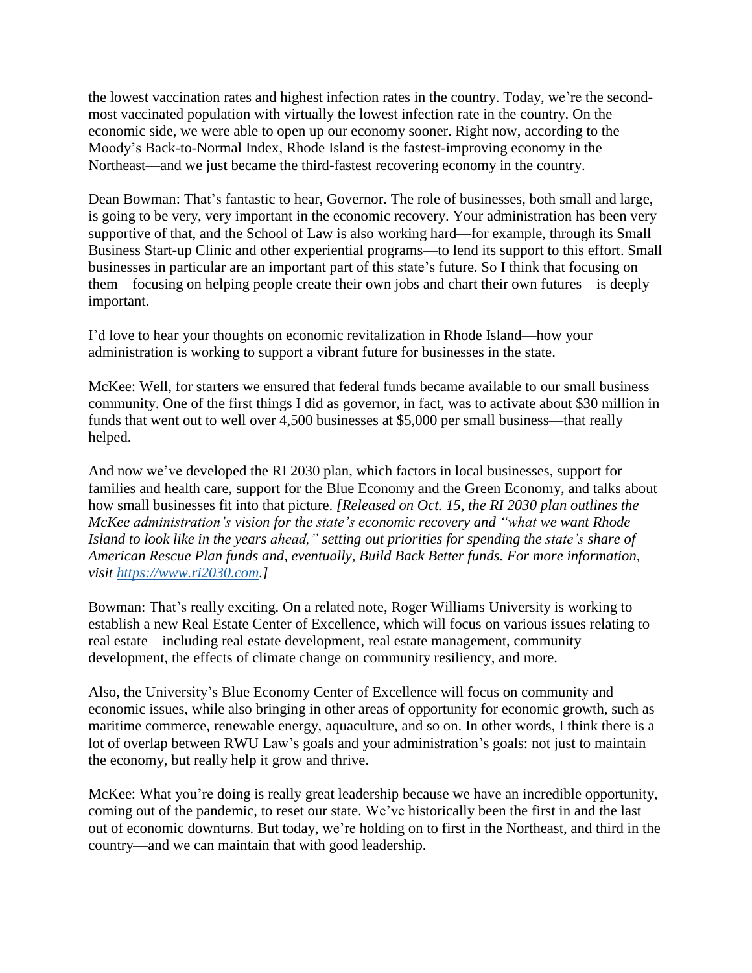the lowest vaccination rates and highest infection rates in the country. Today, we're the secondmost vaccinated population with virtually the lowest infection rate in the country. On the economic side, we were able to open up our economy sooner. Right now, according to the Moody's Back-to-Normal Index, Rhode Island is the fastest-improving economy in the Northeast—and we just became the third-fastest recovering economy in the country.

Dean Bowman: That's fantastic to hear, Governor. The role of businesses, both small and large, is going to be very, very important in the economic recovery. Your administration has been very supportive of that, and the School of Law is also working hard—for example, through its Small Business Start-up Clinic and other experiential programs—to lend its support to this effort. Small businesses in particular are an important part of this state's future. So I think that focusing on them—focusing on helping people create their own jobs and chart their own futures—is deeply important.

I'd love to hear your thoughts on economic revitalization in Rhode Island—how your administration is working to support a vibrant future for businesses in the state.

McKee: Well, for starters we ensured that federal funds became available to our small business community. One of the first things I did as governor, in fact, was to activate about \$30 million in funds that went out to well over 4,500 businesses at \$5,000 per small business—that really helped.

And now we've developed the RI 2030 plan, which factors in local businesses, support for families and health care, support for the Blue Economy and the Green Economy, and talks about how small businesses fit into that picture. *[Released on Oct. 15, the RI 2030 plan outlines the McKee administration's vision for the state's economic recovery and "what we want Rhode Island to look like in the years ahead," setting out priorities for spending the state's share of American Rescue Plan funds and, eventually, Build Back Better funds. For more information, visit [https://www.ri2030.com.](https://www.ri2030.com/)]*

Bowman: That's really exciting. On a related note, Roger Williams University is working to establish a new Real Estate Center of Excellence, which will focus on various issues relating to real estate—including real estate development, real estate management, community development, the effects of climate change on community resiliency, and more.

Also, the University's Blue Economy Center of Excellence will focus on community and economic issues, while also bringing in other areas of opportunity for economic growth, such as maritime commerce, renewable energy, aquaculture, and so on. In other words, I think there is a lot of overlap between RWU Law's goals and your administration's goals: not just to maintain the economy, but really help it grow and thrive.

McKee: What you're doing is really great leadership because we have an incredible opportunity, coming out of the pandemic, to reset our state. We've historically been the first in and the last out of economic downturns. But today, we're holding on to first in the Northeast, and third in the country—and we can maintain that with good leadership.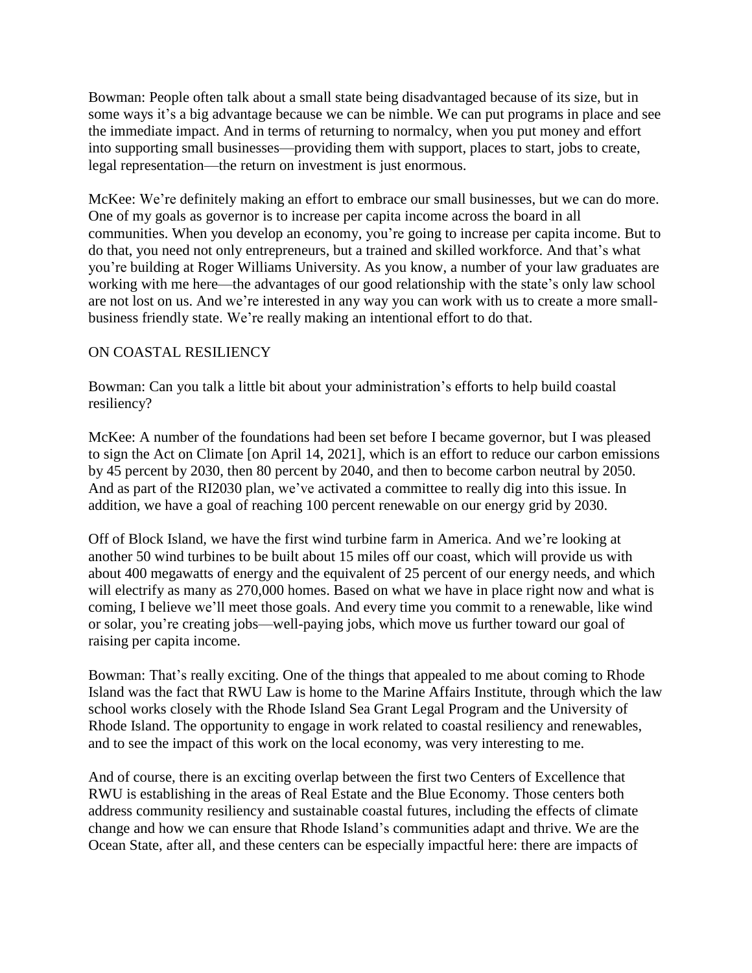Bowman: People often talk about a small state being disadvantaged because of its size, but in some ways it's a big advantage because we can be nimble. We can put programs in place and see the immediate impact. And in terms of returning to normalcy, when you put money and effort into supporting small businesses—providing them with support, places to start, jobs to create, legal representation—the return on investment is just enormous.

McKee: We're definitely making an effort to embrace our small businesses, but we can do more. One of my goals as governor is to increase per capita income across the board in all communities. When you develop an economy, you're going to increase per capita income. But to do that, you need not only entrepreneurs, but a trained and skilled workforce. And that's what you're building at Roger Williams University. As you know, a number of your law graduates are working with me here—the advantages of our good relationship with the state's only law school are not lost on us. And we're interested in any way you can work with us to create a more smallbusiness friendly state. We're really making an intentional effort to do that.

### ON COASTAL RESILIENCY

Bowman: Can you talk a little bit about your administration's efforts to help build coastal resiliency?

McKee: A number of the foundations had been set before I became governor, but I was pleased to sign the Act on Climate [on April 14, 2021], which is an effort to reduce our carbon emissions by 45 percent by 2030, then 80 percent by 2040, and then to become carbon neutral by 2050. And as part of the RI2030 plan, we've activated a committee to really dig into this issue. In addition, we have a goal of reaching 100 percent renewable on our energy grid by 2030.

Off of Block Island, we have the first wind turbine farm in America. And we're looking at another 50 wind turbines to be built about 15 miles off our coast, which will provide us with about 400 megawatts of energy and the equivalent of 25 percent of our energy needs, and which will electrify as many as 270,000 homes. Based on what we have in place right now and what is coming, I believe we'll meet those goals. And every time you commit to a renewable, like wind or solar, you're creating jobs—well-paying jobs, which move us further toward our goal of raising per capita income.

Bowman: That's really exciting. One of the things that appealed to me about coming to Rhode Island was the fact that RWU Law is home to the Marine Affairs Institute, through which the law school works closely with the Rhode Island Sea Grant Legal Program and the University of Rhode Island. The opportunity to engage in work related to coastal resiliency and renewables, and to see the impact of this work on the local economy, was very interesting to me.

And of course, there is an exciting overlap between the first two Centers of Excellence that RWU is establishing in the areas of Real Estate and the Blue Economy. Those centers both address community resiliency and sustainable coastal futures, including the effects of climate change and how we can ensure that Rhode Island's communities adapt and thrive. We are the Ocean State, after all, and these centers can be especially impactful here: there are impacts of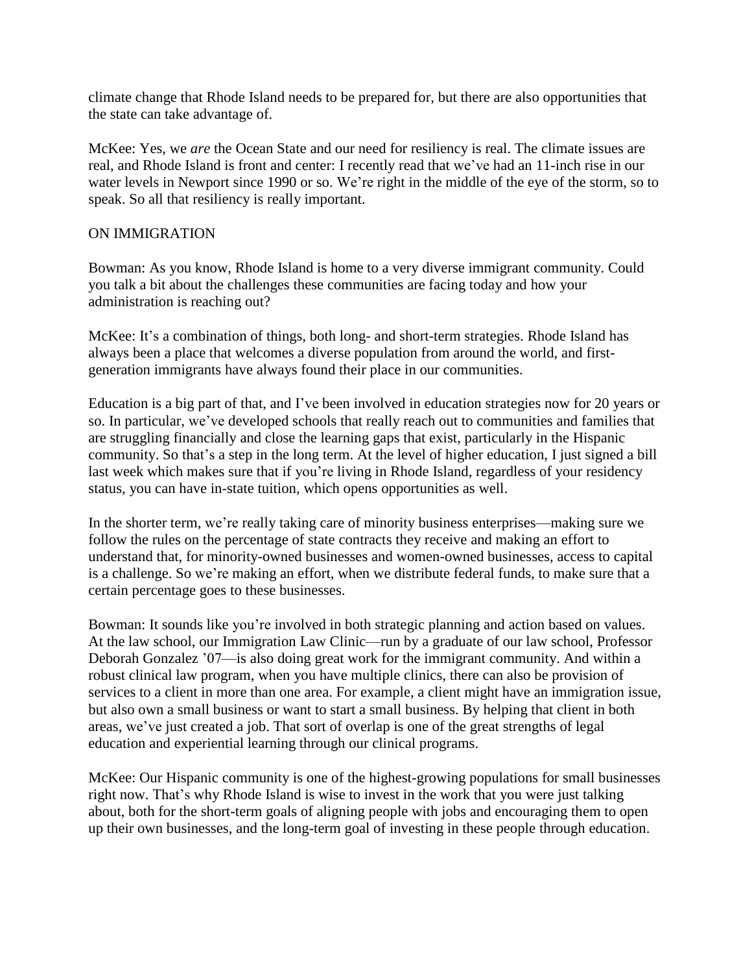climate change that Rhode Island needs to be prepared for, but there are also opportunities that the state can take advantage of.

McKee: Yes, we *are* the Ocean State and our need for resiliency is real. The climate issues are real, and Rhode Island is front and center: I recently read that we've had an 11-inch rise in our water levels in Newport since 1990 or so. We're right in the middle of the eye of the storm, so to speak. So all that resiliency is really important.

### ON IMMIGRATION

Bowman: As you know, Rhode Island is home to a very diverse immigrant community. Could you talk a bit about the challenges these communities are facing today and how your administration is reaching out?

McKee: It's a combination of things, both long- and short-term strategies. Rhode Island has always been a place that welcomes a diverse population from around the world, and firstgeneration immigrants have always found their place in our communities.

Education is a big part of that, and I've been involved in education strategies now for 20 years or so. In particular, we've developed schools that really reach out to communities and families that are struggling financially and close the learning gaps that exist, particularly in the Hispanic community. So that's a step in the long term. At the level of higher education, I just signed a bill last week which makes sure that if you're living in Rhode Island, regardless of your residency status, you can have in-state tuition, which opens opportunities as well.

In the shorter term, we're really taking care of minority business enterprises—making sure we follow the rules on the percentage of state contracts they receive and making an effort to understand that, for minority-owned businesses and women-owned businesses, access to capital is a challenge. So we're making an effort, when we distribute federal funds, to make sure that a certain percentage goes to these businesses.

Bowman: It sounds like you're involved in both strategic planning and action based on values. At the law school, our Immigration Law Clinic—run by a graduate of our law school, Professor Deborah Gonzalez '07—is also doing great work for the immigrant community. And within a robust clinical law program, when you have multiple clinics, there can also be provision of services to a client in more than one area. For example, a client might have an immigration issue, but also own a small business or want to start a small business. By helping that client in both areas, we've just created a job. That sort of overlap is one of the great strengths of legal education and experiential learning through our clinical programs.

McKee: Our Hispanic community is one of the highest-growing populations for small businesses right now. That's why Rhode Island is wise to invest in the work that you were just talking about, both for the short-term goals of aligning people with jobs and encouraging them to open up their own businesses, and the long-term goal of investing in these people through education.